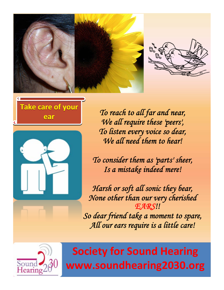







**ear** *To reach to all far and near, We all require these 'peers', To listen every voice so dear, We all need them to hear!*

*To consider them as 'parts' sheer, Is a mistake indeed mere!*

*Harsh or soft all sonic they bear, None other than our very cherished EARS!!*

*So dear friend take a moment to spare, All our ears require is a little care!*

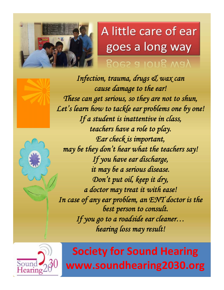

## A little care of ear goes a long way

goes a iong way



*Infection, trauma, drugs & wax can cause damage to the ear! These can get serious, so they are not to shun, Let's learn how to tackle ear problems one by one! If a student is inattentive in class, teachers have a role to play. Ear check is important, may be they don't hear what the teachers say! If you have ear discharge, it may be a serious disease. Don't put oil, keep it dry, a doctor may treat it with ease! In case of any ear problem, an ENT doctor is the best person to consult. If you go to a roadside ear cleaner… hearing loss may result!*

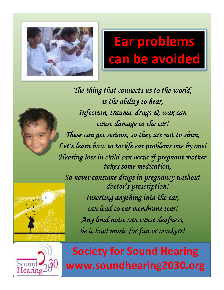

# Ear problems can be avoided **Ear problems problems can be avoided avoided**